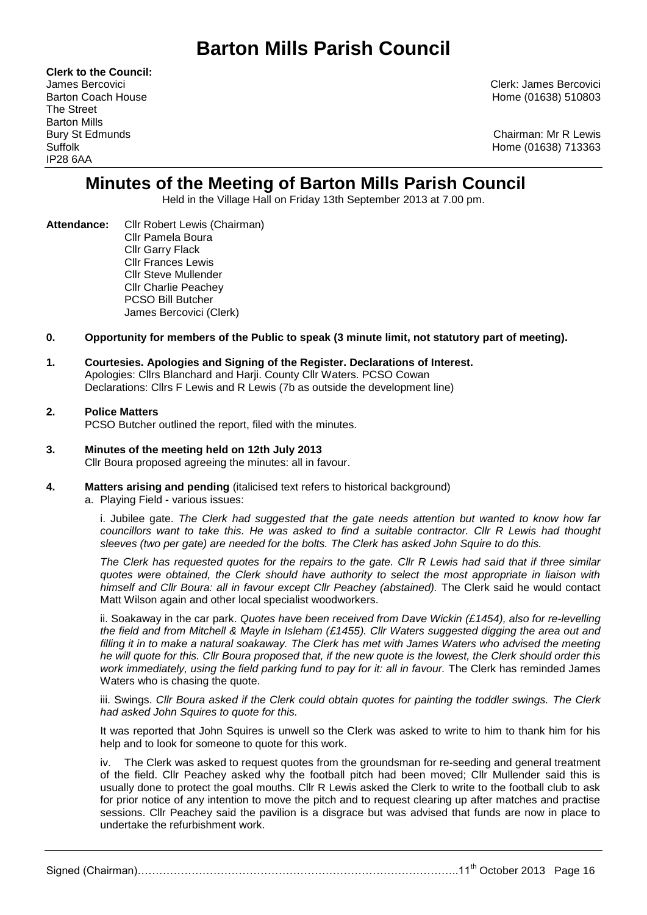# **Barton Mills Parish Council**

**Clerk to the Council:** The Street Barton Mills IP28 6AA

James Bercovici Clerk: James Bercovici Barton Coach House **Home (01638)** 510803

Bury St Edmunds Chairman: Mr R Lewis Suffolk Home (01638) 713363

## **Minutes of the Meeting of Barton Mills Parish Council**

Held in the Village Hall on Friday 13th September 2013 at 7.00 pm.

**Attendance:** Cllr Robert Lewis (Chairman) Cllr Pamela Boura Cllr Garry Flack Cllr Frances Lewis Cllr Steve Mullender Cllr Charlie Peachey PCSO Bill Butcher James Bercovici (Clerk)

## **0. Opportunity for members of the Public to speak (3 minute limit, not statutory part of meeting).**

## **1. Courtesies. Apologies and Signing of the Register. Declarations of Interest.** Apologies: Cllrs Blanchard and Harji. County Cllr Waters. PCSO Cowan Declarations: Cllrs F Lewis and R Lewis (7b as outside the development line)

## **2. Police Matters**

PCSO Butcher outlined the report, filed with the minutes.

- **3. Minutes of the meeting held on 12th July 2013** Cllr Boura proposed agreeing the minutes: all in favour.
- **4. Matters arising and pending** (italicised text refers to historical background)
	- a. Playing Field various issues:

i. Jubilee gate. *The Clerk had suggested that the gate needs attention but wanted to know how far councillors want to take this. He was asked to find a suitable contractor. Cllr R Lewis had thought sleeves (two per gate) are needed for the bolts. The Clerk has asked John Squire to do this.*

*The Clerk has requested quotes for the repairs to the gate. Cllr R Lewis had said that if three similar quotes were obtained, the Clerk should have authority to select the most appropriate in liaison with himself and Cllr Boura: all in favour except Cllr Peachey (abstained).* The Clerk said he would contact Matt Wilson again and other local specialist woodworkers.

ii. Soakaway in the car park. *Quotes have been received from Dave Wickin (£1454), also for re-levelling the field and from Mitchell & Mayle in Isleham (£1455). Cllr Waters suggested digging the area out and filling it in to make a natural soakaway. The Clerk has met with James Waters who advised the meeting he will quote for this. Cllr Boura proposed that, if the new quote is the lowest, the Clerk should order this work immediately, using the field parking fund to pay for it: all in favour.* The Clerk has reminded James Waters who is chasing the quote.

iii. Swings. *Cllr Boura asked if the Clerk could obtain quotes for painting the toddler swings. The Clerk had asked John Squires to quote for this.*

It was reported that John Squires is unwell so the Clerk was asked to write to him to thank him for his help and to look for someone to quote for this work.

iv. The Clerk was asked to request quotes from the groundsman for re-seeding and general treatment of the field. Cllr Peachey asked why the football pitch had been moved; Cllr Mullender said this is usually done to protect the goal mouths. Cllr R Lewis asked the Clerk to write to the football club to ask for prior notice of any intention to move the pitch and to request clearing up after matches and practise sessions. Cllr Peachey said the pavilion is a disgrace but was advised that funds are now in place to undertake the refurbishment work.

Signed (Chairman)………………………………………………………………………………………11<sup>th</sup> October 2013 Page 16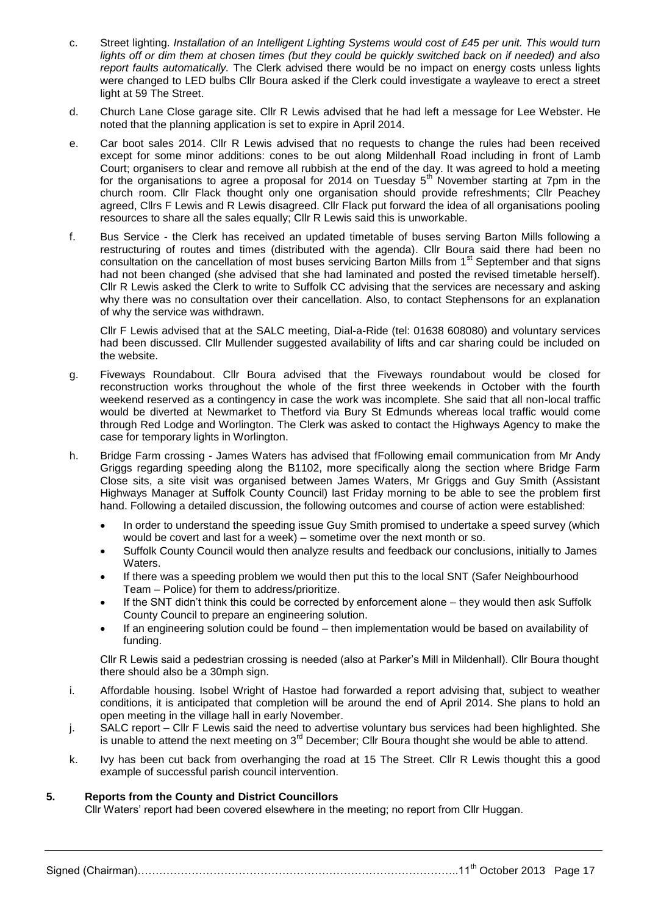- c. Street lighting. *Installation of an Intelligent Lighting Systems would cost of £45 per unit. This would turn lights off or dim them at chosen times (but they could be quickly switched back on if needed) and also report faults automatically.* The Clerk advised there would be no impact on energy costs unless lights were changed to LED bulbs Cllr Boura asked if the Clerk could investigate a wayleave to erect a street light at 59 The Street.
- d. Church Lane Close garage site. Cllr R Lewis advised that he had left a message for Lee Webster. He noted that the planning application is set to expire in April 2014.
- e. Car boot sales 2014. Cllr R Lewis advised that no requests to change the rules had been received except for some minor additions: cones to be out along Mildenhall Road including in front of Lamb Court; organisers to clear and remove all rubbish at the end of the day. It was agreed to hold a meeting for the organisations to agree a proposal for 2014 on Tuesday  $5<sup>th</sup>$  November starting at 7pm in the church room. Cllr Flack thought only one organisation should provide refreshments; Cllr Peachey agreed, Cllrs F Lewis and R Lewis disagreed. Cllr Flack put forward the idea of all organisations pooling resources to share all the sales equally; Cllr R Lewis said this is unworkable.
- f. Bus Service the Clerk has received an updated timetable of buses serving Barton Mills following a restructuring of routes and times (distributed with the agenda). Cllr Boura said there had been no consultation on the cancellation of most buses servicing Barton Mills from 1<sup>st</sup> September and that signs had not been changed (she advised that she had laminated and posted the revised timetable herself). Cllr R Lewis asked the Clerk to write to Suffolk CC advising that the services are necessary and asking why there was no consultation over their cancellation. Also, to contact Stephensons for an explanation of why the service was withdrawn.

Cllr F Lewis advised that at the SALC meeting, Dial-a-Ride (tel: 01638 608080) and voluntary services had been discussed. Cllr Mullender suggested availability of lifts and car sharing could be included on the website.

- g. Fiveways Roundabout. Cllr Boura advised that the Fiveways roundabout would be closed for reconstruction works throughout the whole of the first three weekends in October with the fourth weekend reserved as a contingency in case the work was incomplete. She said that all non-local traffic would be diverted at Newmarket to Thetford via Bury St Edmunds whereas local traffic would come through Red Lodge and Worlington. The Clerk was asked to contact the Highways Agency to make the case for temporary lights in Worlington.
- h. Bridge Farm crossing James Waters has advised that fFollowing email communication from Mr Andy Griggs regarding speeding along the B1102, more specifically along the section where Bridge Farm Close sits, a site visit was organised between James Waters, Mr Griggs and Guy Smith (Assistant Highways Manager at Suffolk County Council) last Friday morning to be able to see the problem first hand. Following a detailed discussion, the following outcomes and course of action were established:
	- In order to understand the speeding issue Guy Smith promised to undertake a speed survey (which would be covert and last for a week) – sometime over the next month or so.
	- Suffolk County Council would then analyze results and feedback our conclusions, initially to James Waters.
	- If there was a speeding problem we would then put this to the local SNT (Safer Neighbourhood Team – Police) for them to address/prioritize.
	- If the SNT didn't think this could be corrected by enforcement alone they would then ask Suffolk County Council to prepare an engineering solution.
	- If an engineering solution could be found then implementation would be based on availability of funding.

Cllr R Lewis said a pedestrian crossing is needed (also at Parker's Mill in Mildenhall). Cllr Boura thought there should also be a 30mph sign.

- i. Affordable housing. Isobel Wright of Hastoe had forwarded a report advising that, subject to weather conditions, it is anticipated that completion will be around the end of April 2014. She plans to hold an open meeting in the village hall in early November.
- j. SALC report Cllr F Lewis said the need to advertise voluntary bus services had been highlighted. She is unable to attend the next meeting on  $3<sup>rd</sup>$  December; Cllr Boura thought she would be able to attend.
- k. Ivy has been cut back from overhanging the road at 15 The Street. Cllr R Lewis thought this a good example of successful parish council intervention.

## **5. Reports from the County and District Councillors**

Cllr Waters' report had been covered elsewhere in the meeting; no report from Cllr Huggan.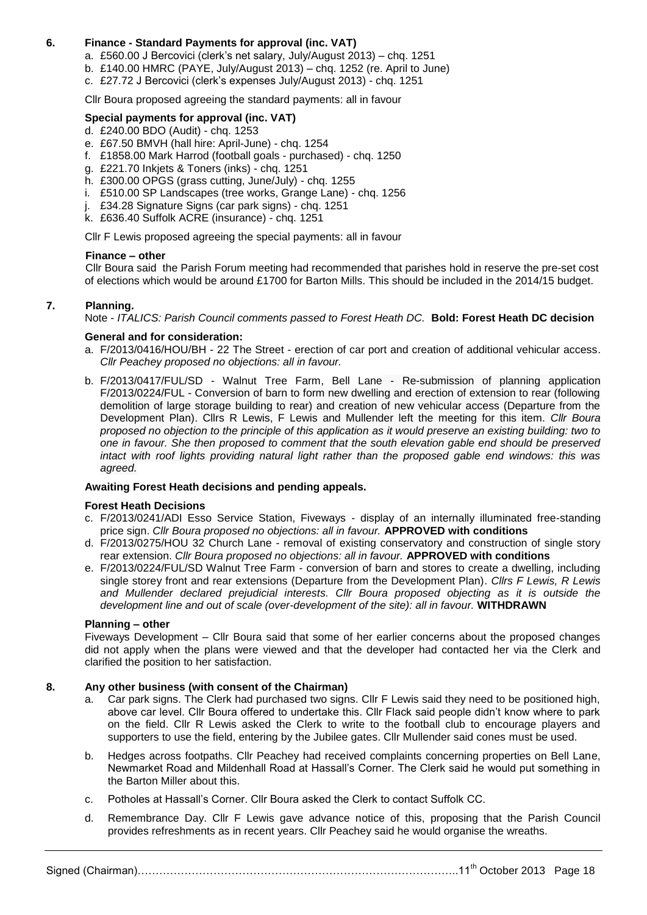## **6. Finance - Standard Payments for approval (inc. VAT)**

- a. £560.00 J Bercovici (clerk's net salary, July/August 2013) chq. 1251
- b. £140.00 HMRC (PAYE, July/August 2013) chq. 1252 (re. April to June)
- c. £27.72 J Bercovici (clerk's expenses July/August 2013) chq. 1251

Cllr Boura proposed agreeing the standard payments: all in favour

## **Special payments for approval (inc. VAT)**

- d. £240.00 BDO (Audit) chq. 1253
- e. £67.50 BMVH (hall hire: April-June) chq. 1254
- f. £1858.00 Mark Harrod (football goals purchased) chq. 1250
- g. £221.70 Inkjets & Toners (inks) chq. 1251
- h. £300.00 OPGS (grass cutting, June/July) chq. 1255
- i. £510.00 SP Landscapes (tree works, Grange Lane) chq. 1256
- j. £34.28 Signature Signs (car park signs) chq. 1251
- k. £636.40 Suffolk ACRE (insurance) chq. 1251

Cllr F Lewis proposed agreeing the special payments: all in favour

#### **Finance – other**

Cllr Boura said the Parish Forum meeting had recommended that parishes hold in reserve the pre-set cost of elections which would be around £1700 for Barton Mills. This should be included in the 2014/15 budget.

## **7. Planning.**

Note - *ITALICS: Parish Council comments passed to Forest Heath DC.* **Bold: Forest Heath DC decision**

#### **General and for consideration:**

- a. F/2013/0416/HOU/BH 22 The Street erection of car port and creation of additional vehicular access. *Cllr Peachey proposed no objections: all in favour.*
- b. F/2013/0417/FUL/SD Walnut Tree Farm, Bell Lane Re-submission of planning application F/2013/0224/FUL - Conversion of barn to form new dwelling and erection of extension to rear (following demolition of large storage building to rear) and creation of new vehicular access (Departure from the Development Plan). Cllrs R Lewis, F Lewis and Mullender left the meeting for this item. *Cllr Boura proposed no objection to the principle of this application as it would preserve an existing building: two to one in favour. She then proposed to comment that the south elevation gable end should be preserved intact with roof lights providing natural light rather than the proposed gable end windows: this was agreed.*

## **Awaiting Forest Heath decisions and pending appeals.**

#### **Forest Heath Decisions**

- c. F/2013/0241/ADI Esso Service Station, Fiveways display of an internally illuminated free-standing price sign. *Cllr Boura proposed no objections: all in favour.* **APPROVED with conditions**
- d. F/2013/0275/HOU 32 Church Lane removal of existing conservatory and construction of single story rear extension. *Cllr Boura proposed no objections: all in favour.* **APPROVED with conditions**
- e. F/2013/0224/FUL/SD Walnut Tree Farm conversion of barn and stores to create a dwelling, including single storey front and rear extensions (Departure from the Development Plan). *Cllrs F Lewis, R Lewis and Mullender declared prejudicial interests. Cllr Boura proposed objecting as it is outside the development line and out of scale (over-development of the site): all in favour.* **WITHDRAWN**

## **Planning – other**

Fiveways Development – Cllr Boura said that some of her earlier concerns about the proposed changes did not apply when the plans were viewed and that the developer had contacted her via the Clerk and clarified the position to her satisfaction.

## **8. Any other business (with consent of the Chairman)**

- a. Car park signs. The Clerk had purchased two signs. Cllr F Lewis said they need to be positioned high, above car level. Cllr Boura offered to undertake this. Cllr Flack said people didn't know where to park on the field. Cllr R Lewis asked the Clerk to write to the football club to encourage players and supporters to use the field, entering by the Jubilee gates. Cllr Mullender said cones must be used.
- b. Hedges across footpaths. Cllr Peachey had received complaints concerning properties on Bell Lane, Newmarket Road and Mildenhall Road at Hassall's Corner. The Clerk said he would put something in the Barton Miller about this.
- c. Potholes at Hassall's Corner. Cllr Boura asked the Clerk to contact Suffolk CC.
- d. Remembrance Day. Cllr F Lewis gave advance notice of this, proposing that the Parish Council provides refreshments as in recent years. Cllr Peachey said he would organise the wreaths.